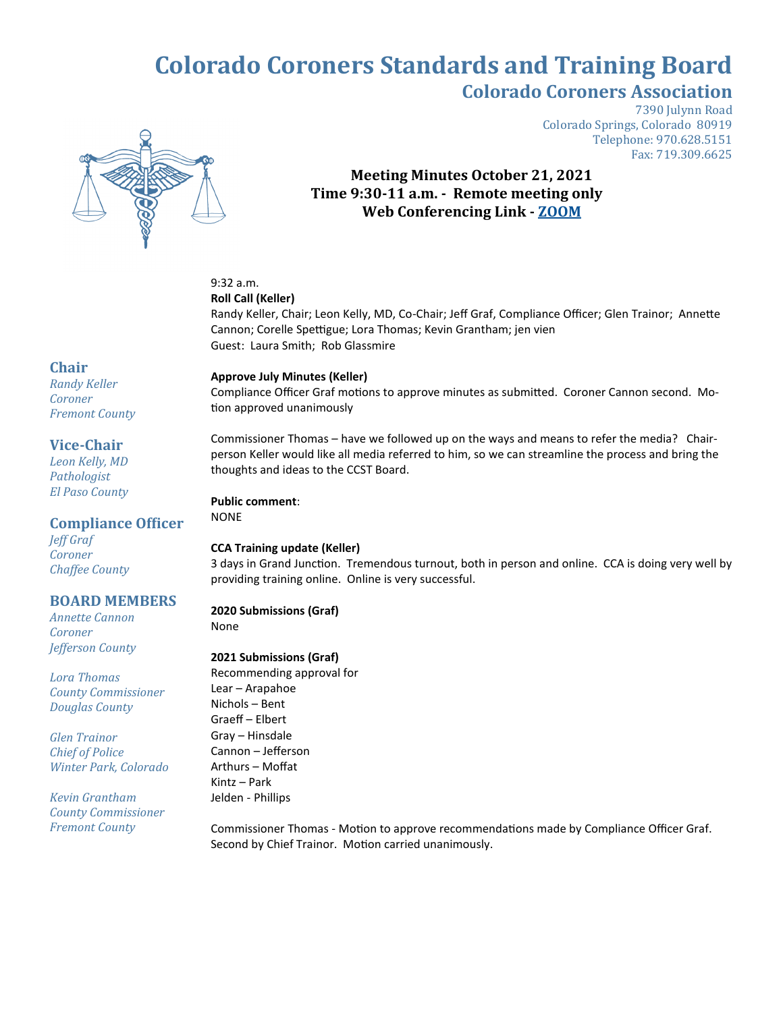# **Colorado Coroners Standards and Training Board Colorado Coroners Association**



7390 Julynn Road Colorado Springs, Colorado 80919 Telephone: 970.628.5151 Fax: 719.309.6625

### **Meeting Minutes October 21, 2021 Time 9:30-11 a.m. - Remote meeting only Web Conferencing Link - [ZOOM](https://us02web.zoom.us/j/83801357113?pwd=TDV3cXZkdGx2YWVhdjFaUTU4RTM4QT09)**

## 9:32 a.m.

#### **Roll Call (Keller)**

Randy Keller, Chair; Leon Kelly, MD, Co-Chair; Jeff Graf, Compliance Officer; Glen Trainor; Annette Cannon; Corelle Spettigue; Lora Thomas; Kevin Grantham; jen vien Guest: Laura Smith; Rob Glassmire

#### **Approve July Minutes (Keller)**

Compliance Officer Graf motions to approve minutes as submitted. Coroner Cannon second. Motion approved unanimously

Commissioner Thomas – have we followed up on the ways and means to refer the media? Chairperson Keller would like all media referred to him, so we can streamline the process and bring the thoughts and ideas to the CCST Board.

#### **Public comment**:

NONE

### **CCA Training update (Keller)**

3 days in Grand Junction. Tremendous turnout, both in person and online. CCA is doing very well by providing training online. Online is very successful.

### **2020 Submissions (Graf)**

None

### **2021 Submissions (Graf)**

Recommending approval for Lear – Arapahoe Nichols – Bent Graeff – Elbert Gray – Hinsdale Cannon – Jefferson Arthurs – Moffat Kintz – Park Jelden - Phillips

Commissioner Thomas - Motion to approve recommendations made by Compliance Officer Graf. Second by Chief Trainor. Motion carried unanimously.

# **Chair**

*Randy Keller Coroner Fremont County*

### **Vice-Chair**

*Leon Kelly, MD Pathologist El Paso County*

### **Compliance Officer**

*Jeff Graf Coroner Chaffee County*

### **BOARD MEMBERS**

*Annette Cannon Coroner Jefferson County*

*Lora Thomas County Commissioner Douglas County* 

*Glen Trainor Chief of Police Winter Park, Colorado*

*Kevin Grantham County Commissioner Fremont County*